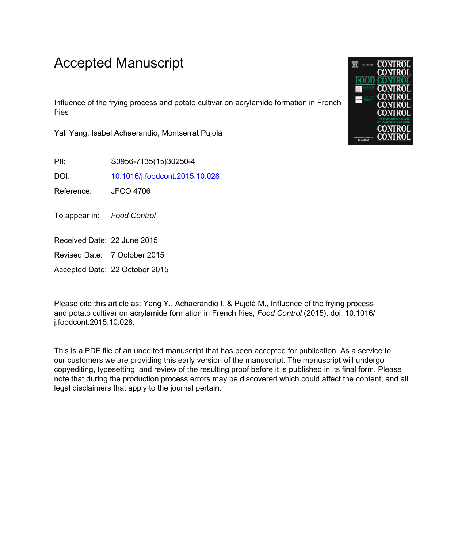# Accepted Manuscript

Influence of the frying process and potato cultivar on acrylamide formation in French fries

Yali Yang, Isabel Achaerandio, Montserrat Pujolà

PII: S0956-7135(15)30250-4

DOI: [10.1016/j.foodcont.2015.10.028](http://dx.doi.org/10.1016/j.foodcont.2015.10.028)

Reference: JFCO 4706

To appear in: Food Control

Received Date: 22 June 2015

Revised Date: 7 October 2015

Accepted Date: 22 October 2015

Please cite this article as: Yang Y., Achaerandio I. & Pujolà M., Influence of the frying process and potato cultivar on acrylamide formation in French fries, *Food Control* (2015), doi: 10.1016/ j.foodcont.2015.10.028.

This is a PDF file of an unedited manuscript that has been accepted for publication. As a service to our customers we are providing this early version of the manuscript. The manuscript will undergo copyediting, typesetting, and review of the resulting proof before it is published in its final form. Please note that during the production process errors may be discovered which could affect the content, and all legal disclaimers that apply to the journal pertain.

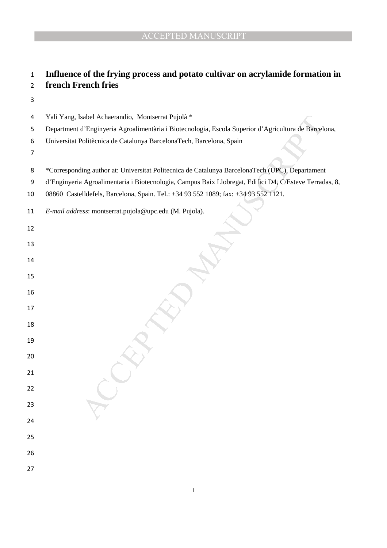# **Influence of the frying process and potato cultivar on acrylamide formation in french French fries**

Yali Yang, Isabel Achaerandio, Montserrat Pujolà \*

- 
- \*Corresponding author at: Universitat Politecnica de Catalunya BarcelonaTech (UPC), Departament
- d'Enginyeria Agroalimentaria i Biotecnologia, Campus Baix Llobregat, Edifici D4, C/Esteve Terradas, 8,
- 08860 Castelldefels, Barcelona, Spain. Tel.: +34 93 552 1089; fax: +34 93 552 1121.

| 11 | E-mail address: montserrat.pujola@upc.edu (M. Pujola). |  |
|----|--------------------------------------------------------|--|
|    |                                                        |  |

| 4  | Yali Yang, Isabel Achaerandio, Montserrat Pujolà *                                               |
|----|--------------------------------------------------------------------------------------------------|
| 5  | Department d'Enginyeria Agroalimentària i Biotecnologia, Escola Superior d'Agricultura de Barcel |
| 6  | Universitat Politècnica de Catalunya BarcelonaTech, Barcelona, Spain                             |
| 7  |                                                                                                  |
| 8  | *Corresponding author at: Universitat Politecnica de Catalunya BarcelonaTech (UPC), Departament  |
| 9  | d'Enginyeria Agroalimentaria i Biotecnologia, Campus Baix Llobregat, Edifici D4, C/Esteve Terrad |
| 10 | 08860 Castelldefels, Barcelona, Spain. Tel.: +34 93 552 1089; fax: +34 93 552 1121.              |
| 11 | E-mail address: montserrat.pujola@upc.edu (M. Pujola).                                           |
| 12 |                                                                                                  |
| 13 |                                                                                                  |
| 14 |                                                                                                  |
| 15 |                                                                                                  |
| 16 |                                                                                                  |
| 17 |                                                                                                  |
| 18 |                                                                                                  |
| 19 |                                                                                                  |
| 20 |                                                                                                  |
| 21 |                                                                                                  |
| 22 |                                                                                                  |
| 23 |                                                                                                  |
| 24 |                                                                                                  |
| 25 |                                                                                                  |
| 26 |                                                                                                  |
| 27 |                                                                                                  |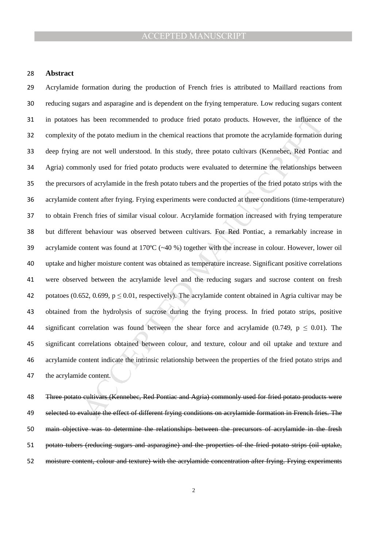#### **Abstract**

has been recommended to produce fried potato products. However, the influence<br>of the potato medium in the chemical reactions that promote the acrylamide formation<br>are not well understood. In this study, three potato culti Acrylamide formation during the production of French fries is attributed to Maillard reactions from reducing sugars and asparagine and is dependent on the frying temperature. Low reducing sugars content in potatoes has been recommended to produce fried potato products. However, the influence of the complexity of the potato medium in the chemical reactions that promote the acrylamide formation during deep frying are not well understood. In this study, three potato cultivars (Kennebec, Red Pontiac and Agria) commonly used for fried potato products were evaluated to determine the relationships between the precursors of acrylamide in the fresh potato tubers and the properties of the fried potato strips with the acrylamide content after frying. Frying experiments were conducted at three conditions (time-temperature) to obtain French fries of similar visual colour. Acrylamide formation increased with frying temperature but different behaviour was observed between cultivars. For Red Pontiac, a remarkably increase in acrylamide content was found at 170ºC (~40 %) together with the increase in colour. However, lower oil uptake and higher moisture content was obtained as temperature increase. Significant positive correlations were observed between the acrylamide level and the reducing sugars and sucrose content on fresh 42 potatoes (0.652, 0.699,  $p \le 0.01$ , respectively). The acrylamide content obtained in Agria cultivar may be obtained from the hydrolysis of sucrose during the frying process. In fried potato strips, positive 44 significant correlation was found between the shear force and acrylamide (0.749,  $p \le 0.01$ ). The significant correlations obtained between colour, and texture, colour and oil uptake and texture and acrylamide content indicate the intrinsic relationship between the properties of the fried potato strips and the acrylamide content.

Three potato cultivars (Kennebec, Red Pontiac and Agria) commonly used for fried potato products were 49 selected to evaluate the effect of different frying conditions on acrylamide formation in French fries. The main objective was to determine the relationships between the precursors of acrylamide in the fresh potato tubers (reducing sugars and asparagine) and the properties of the fried potato strips (oil uptake, moisture content, colour and texture) with the acrylamide concentration after frying. Frying experiments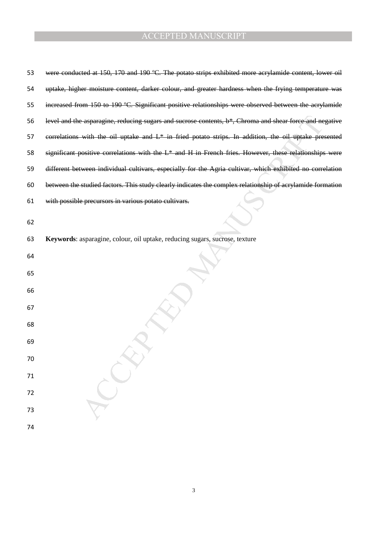| 53 | were conducted at 150, 170 and 190 °C. The potato strips exhibited more acrylamide content, lower oil       |
|----|-------------------------------------------------------------------------------------------------------------|
| 54 | uptake, higher moisture content, darker colour, and greater hardness when the frying temperature was        |
| 55 | increased from 150 to 190 °C. Significant positive relationships were observed between the acrylamide       |
| 56 | level and the asparagine, reducing sugars and sucrose contents, $b^*$ , Chroma and shear force and negative |
| 57 | correlations with the oil uptake and $L^*$ in fried potato strips. In addition, the oil uptake presented    |
| 58 | significant positive correlations with the $L^*$ and $H$ in French fries. However, these relationships were |
| 59 | different between individual cultivars, especially for the Agria cultivar, which exhibited no correlation   |
| 60 | between the studied factors. This study clearly indicates the complex relationship of acrylamide formation  |
| 61 | with possible precursors in various potato cultivars.                                                       |
| 62 |                                                                                                             |
| 63 | Keywords: asparagine, colour, oil uptake, reducing sugars, sucrose, texture                                 |
| 64 |                                                                                                             |
| 65 |                                                                                                             |
| 66 |                                                                                                             |
| 67 |                                                                                                             |
| 68 |                                                                                                             |
| 69 |                                                                                                             |
| 70 |                                                                                                             |
| 71 |                                                                                                             |
| 72 |                                                                                                             |
| 73 |                                                                                                             |
| 74 |                                                                                                             |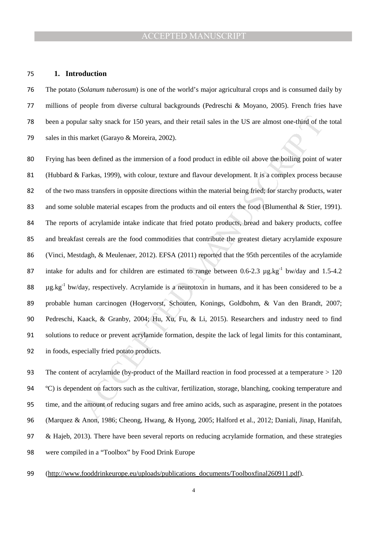#### **1. Introduction**

The potato (*Solanum tuberosum*) is one of the world's major agricultural crops and is consumed daily by millions of people from diverse cultural backgrounds (Pedreschi & Moyano, 2005). French fries have been a popular salty snack for 150 years, and their retail sales in the US are almost one-third of the total sales in this market (Garayo & Moreira, 2002).

lar salty snack for 150 years, and their retail sales in the US are almost one-third of th<br>market (Garayo & Moreira, 2002).<br>
een defined as the immersion of a food product in edible oil above the boiling point of<br>
Farkas, Frying has been defined as the immersion of a food product in edible oil above the boiling point of water (Hubbard & Farkas, 1999), with colour, texture and flavour development. It is a complex process because of the two mass transfers in opposite directions within the material being fried; for starchy products, water 83 and some soluble material escapes from the products and oil enters the food (Blumenthal & Stier, 1991). The reports of acrylamide intake indicate that fried potato products, bread and bakery products, coffee and breakfast cereals are the food commodities that contribute the greatest dietary acrylamide exposure (Vinci, Mestdagh, & Meulenaer, 2012). EFSA (2011) reported that the 95th percentiles of the acrylamide 87 intake for adults and for children are estimated to range between 0.6-2.3  $\mu$ g.kg<sup>-1</sup> bw/day and 1.5-4.2  $\mu$ g.kg<sup>-1</sup> bw/day, respectively. Acrylamide is a neurotoxin in humans, and it has been considered to be a probable human carcinogen (Hogervorst, Schouten, Konings, Goldbohm, & Van den Brandt, 2007; Pedreschi, Kaack, & Granby, 2004; Hu, Xu, Fu, & Li, 2015). Researchers and industry need to find solutions to reduce or prevent acrylamide formation, despite the lack of legal limits for this contaminant, in foods, especially fried potato products.

The content of acrylamide (by-product of the Maillard reaction in food processed at a temperature > 120 ºC) is dependent on factors such as the cultivar, fertilization, storage, blanching, cooking temperature and time, and the amount of reducing sugars and free amino acids, such as asparagine, present in the potatoes (Marquez & Anon, 1986; Cheong, Hwang, & Hyong, 2005; Halford et al., 2012; Daniali, Jinap, Hanifah, 97 & Hajeb, 2013). There have been several reports on reducing acrylamide formation, and these strategies were compiled in a "Toolbox" by Food Drink Europe

(http://www.fooddrinkeurope.eu/uploads/publications\_documents/Toolboxfinal260911.pdf).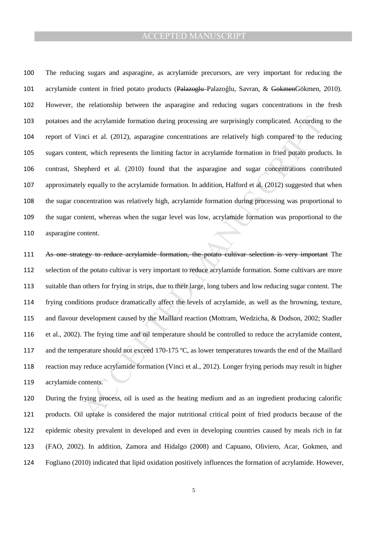The reducing sugars and asparagine, as acrylamide precursors, are very important for reducing the acrylamide content in fried potato products (Palazoglu Palazoğlu, Savran, & GokmenGökmen, 2010). However, the relationship between the asparagine and reducing sugars concentrations in the fresh potatoes and the acrylamide formation during processing are surprisingly complicated. According to the report of Vinci et al. (2012), asparagine concentrations are relatively high compared to the reducing sugars content, which represents the limiting factor in acrylamide formation in fried potato products. In contrast, Shepherd et al. (2010) found that the asparagine and sugar concentrations contributed approximately equally to the acrylamide formation. In addition, Halford et al. (2012) suggested that when the sugar concentration was relatively high, acrylamide formation during processing was proportional to the sugar content, whereas when the sugar level was low, acrylamide formation was proportional to the asparagine content.

the acrylamide formation during processing are surprisingly complicated. According<br>inci et al. (2012), asparagine concentrations are relatively high compared to the reent, which represents the limiting factor in acrylamide As one strategy to reduce acrylamide formation, the potato cultivar selection is very important The selection of the potato cultivar is very important to reduce acrylamide formation. Some cultivars are more suitable than others for frying in strips, due to their large, long tubers and low reducing sugar content. The frying conditions produce dramatically affect the levels of acrylamide, as well as the browning, texture, and flavour development caused by the Maillard reaction (Mottram, Wedzicha, & Dodson, 2002; Stadler et al., 2002). The frying time and oil temperature should be controlled to reduce the acrylamide content, and the temperature should not exceed 170-175 ºC, as lower temperatures towards the end of the Maillard reaction may reduce acrylamide formation (Vinci et al., 2012). Longer frying periods may result in higher acrylamide contents.

During the frying process, oil is used as the heating medium and as an ingredient producing calorific products. Oil uptake is considered the major nutritional critical point of fried products because of the epidemic obesity prevalent in developed and even in developing countries caused by meals rich in fat (FAO, 2002). In addition, Zamora and Hidalgo (2008) and Capuano, Oliviero, Acar, Gokmen, and Fogliano (2010) indicated that lipid oxidation positively influences the formation of acrylamide. However,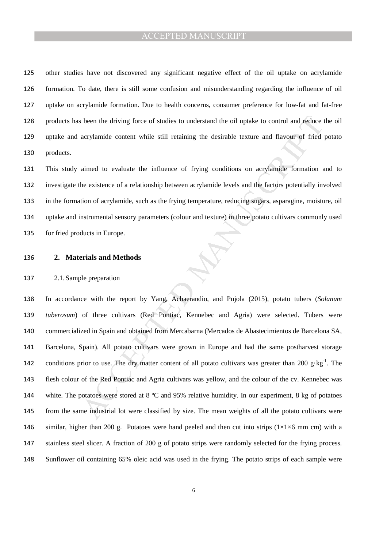other studies have not discovered any significant negative effect of the oil uptake on acrylamide formation. To date, there is still some confusion and misunderstanding regarding the influence of oil uptake on acrylamide formation. Due to health concerns, consumer preference for low-fat and fat-free products has been the driving force of studies to understand the oil uptake to control and reduce the oil uptake and acrylamide content while still retaining the desirable texture and flavour of fried potato products.

This study aimed to evaluate the influence of frying conditions on acrylamide formation and to investigate the existence of a relationship between acrylamide levels and the factors potentially involved in the formation of acrylamide, such as the frying temperature, reducing sugars, asparagine, moisture, oil uptake and instrumental sensory parameters (colour and texture) in three potato cultivars commonly used for fried products in Europe.

#### **2. Materials and Methods**

#### 2.1.Sample preparation

is been the driving force of studies to understand the oil uptake to control and reduce acrylamide content while still retaining the desirable texture and flavour of fried<br>aimed to evaluate the influence of frying conditi In accordance with the report by Yang, Achaerandio, and Pujola (2015), potato tubers (*Solanum tuberosum*) of three cultivars (Red Pontiac, Kennebec and Agria) were selected. Tubers were commercialized in Spain and obtained from Mercabarna (Mercados de Abastecimientos de Barcelona SA, Barcelona, Spain). All potato cultivars were grown in Europe and had the same postharvest storage 142 conditions prior to use. The dry matter content of all potato cultivars was greater than 200 g·kg<sup>-1</sup>. The flesh colour of the Red Pontiac and Agria cultivars was yellow, and the colour of the cv. Kennebec was 144 white. The potatoes were stored at 8 °C and 95% relative humidity. In our experiment, 8 kg of potatoes from the same industrial lot were classified by size. The mean weights of all the potato cultivars were 146 similar, higher than 200 g. Potatoes were hand peeled and then cut into strips  $(1\times1\times6)$  mm cm) with a stainless steel slicer. A fraction of 200 g of potato strips were randomly selected for the frying process. Sunflower oil containing 65% oleic acid was used in the frying. The potato strips of each sample were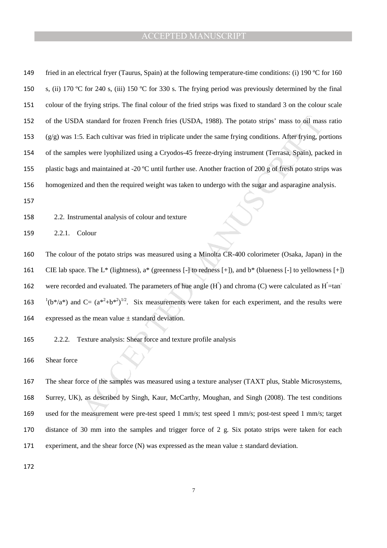| 149 | fried in an electrical fryer (Taurus, Spain) at the following temperature-time conditions: (i) 190 °C for 160                 |
|-----|-------------------------------------------------------------------------------------------------------------------------------|
| 150 | s, (ii) 170 °C for 240 s, (iii) 150 °C for 330 s. The frying period was previously determined by the final                    |
| 151 | colour of the frying strips. The final colour of the fried strips was fixed to standard 3 on the colour scale                 |
| 152 | of the USDA standard for frozen French fries (USDA, 1988). The potato strips' mass to oil mass ratio                          |
| 153 | $(g/g)$ was 1:5. Each cultivar was fried in triplicate under the same frying conditions. After frying, portions               |
| 154 | of the samples were lyophilized using a Cryodos-45 freeze-drying instrument (Terrasa, Spain), packed in                       |
| 155 | plastic bags and maintained at -20 °C until further use. Another fraction of 200 g of fresh potato strips was                 |
| 156 | homogenized and then the required weight was taken to undergo with the sugar and asparagine analysis.                         |
| 157 |                                                                                                                               |
| 158 | 2.2. Instrumental analysis of colour and texture                                                                              |
| 159 | 2.2.1.<br>Colour                                                                                                              |
| 160 | The colour of the potato strips was measured using a Minolta CR-400 colorimeter (Osaka, Japan) in the                         |
| 161 | CIE lab space. The L* (lightness), $a^*$ (greenness $[-]$ to redness $[+]$ ), and $b^*$ (blueness $[-]$ to yellowness $[+]$ ) |
| 162 | were recorded and evaluated. The parameters of hue angle $(H^{\circ})$ and chroma (C) were calculated as $H^{\circ}$ =tan     |
| 163 | $(16^*/a^*)$ and C= $(a^{*2}+b^{*2})^{1/2}$ . Six measurements were taken for each experiment, and the results were           |
| 164 | expressed as the mean value $\pm$ standard deviation.                                                                         |
| 165 | Texture analysis: Shear force and texture profile analysis<br>2.2.2.                                                          |
| 166 | Shear force                                                                                                                   |
| 167 | The shear force of the samples was measured using a texture analyser (TAXT plus, Stable Microsystems,                         |
| 168 | Surrey, UK), as described by Singh, Kaur, McCarthy, Moughan, and Singh (2008). The test conditions                            |
| 169 | used for the measurement were pre-test speed 1 mm/s; test speed 1 mm/s; post-test speed 1 mm/s; target                        |

The shear force of the samples was measured using a texture analyser (TAXT plus, Stable Microsystems, Surrey, UK), as described by Singh, Kaur, McCarthy, Moughan, and Singh (2008). The test conditions used for the measurement were pre-test speed 1 mm/s; test speed 1 mm/s; post-test speed 1 mm/s; target distance of 30 mm into the samples and trigger force of 2 g. Six potato strips were taken for each 171 experiment, and the shear force (N) was expressed as the mean value  $\pm$  standard deviation.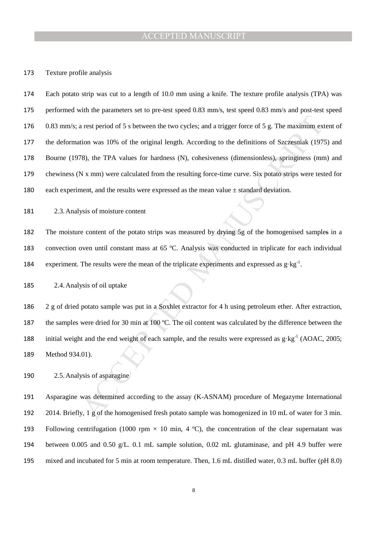#### Texture profile analysis

a rest period of 5 s between the two cycles; and a trigger force of 5 g. The maximum exition was 10% of the original length. According to the definitions of Szczesniak (1973), the TPA values for hardness (N), cohesiveness Each potato strip was cut to a length of 10.0 mm using a knife. The texture profile analysis (TPA) was performed with the parameters set to pre-test speed 0.83 mm/s, test speed 0.83 mm/s and post-test speed 0.83 mm/s; a rest period of 5 s between the two cycles; and a trigger force of 5 g. The maximum extent of the deformation was 10% of the original length. According to the definitions of Szczesniak (1975) and Bourne (1978), the TPA values for hardness (N), cohesiveness (dimensionless), springiness (mm) and chewiness (N x mm) were calculated from the resulting force-time curve. Six potato strips were tested for 180 each experiment, and the results were expressed as the mean value  $\pm$  standard deviation.

2.3.Analysis of moisture content

The moisture content of the potato strips was measured by drying 5g of the homogenised samples in a convection oven until constant mass at 65 ºC. Analysis was conducted in triplicate for each individual 184 experiment. The results were the mean of the triplicate experiments and expressed as  $g \cdot kg^{-1}$ .

2.4.Analysis of oil uptake

2 g of dried potato sample was put in a Soxhlet extractor for 4 h using petroleum ether. After extraction, 187 the samples were dried for 30 min at 100 °C. The oil content was calculated by the difference between the 188 initial weight and the end weight of each sample, and the results were expressed as  $g \cdot kg^{-1}$  (AOAC, 2005; Method 934.01).

2.5.Analysis of asparagine

Asparagine was determined according to the assay (K-ASNAM) procedure of Megazyme International 2014. Briefly, 1 g of the homogenised fresh potato sample was homogenized in 10 mL of water for 3 min. 193 Following centrifugation (1000 rpm  $\times$  10 min, 4 °C), the concentration of the clear supernatant was between 0.005 and 0.50 g/L. 0.1 mL sample solution, 0.02 mL glutaminase, and pH 4.9 buffer were mixed and incubated for 5 min at room temperature. Then, 1.6 mL distilled water, 0.3 mL buffer (pH 8.0)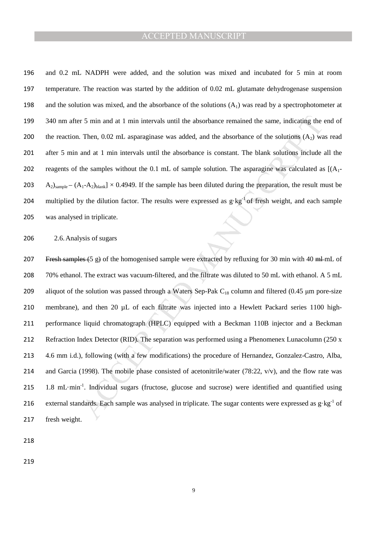196 and 0.2 mL NADPH were added, and the solution was mixed and incubated for 5 min at room 197 temperature. The reaction was started by the addition of 0.02 mL glutamate dehydrogenase suspension 198 and the solution was mixed, and the absorbance of the solutions  $(A_1)$  was read by a spectrophotometer at 199 340 nm after 5 min and at 1 min intervals until the absorbance remained the same, indicating the end of 200 the reaction. Then,  $0.02$  mL asparaginase was added, and the absorbance of the solutions  $(A_2)$  was read 201 after 5 min and at 1 min intervals until the absorbance is constant. The blank solutions include all the 202 reagents of the samples without the 0.1 mL of sample solution. The asparagine was calculated as  $[(A_1 - B_2)(A_2 - B_1)(A_3 - B_2)]$ 203 A<sub>2</sub>)<sub>sample</sub> –  $(A_1-A_2)_{blank}$  × 0.4949. If the sample has been diluted during the preparation, the result must be 204 multiplied by the dilution factor. The results were expressed as  $g \cdot kg^{-1}$  of fresh weight, and each sample 205 was analysed in triplicate.

206 2.6.Analysis of sugars

r 5 min and at 1 min intervals until the absorbance remained the same, indicating the r<br>Then, 0.02 mL asparaginase was added, and the absorbance of the solutions (A<sub>2</sub>) wa<br>and at 1 min intervals until the absorbance is co 207 Fresh samples (5 g) of the homogenised sample were extracted by refluxing for 30 min with 40 ml-mL of 208 70% ethanol. The extract was vacuum-filtered, and the filtrate was diluted to 50 mL with ethanol. A 5 mL 209 aliquot of the solution was passed through a Waters Sep-Pak  $C_{18}$  column and filtered (0.45 µm pore-size 210 membrane), and then 20 µL of each filtrate was injected into a Hewlett Packard series 1100 high-211 performance liquid chromatograph (HPLC) equipped with a Beckman 110B injector and a Beckman 212 Refraction Index Detector (RID). The separation was performed using a Phenomenex Lunacolumn (250 x 213 4.6 mm i.d.), following (with a few modifications) the procedure of Hernandez, Gonzalez-Castro, Alba, 214 and Garcia (1998). The mobile phase consisted of acetonitrile/water (78:22, v/v), and the flow rate was 215 1.8 mL·min<sup>-1</sup>. Individual sugars (fructose, glucose and sucrose) were identified and quantified using 216 external standards. Each sample was analysed in triplicate. The sugar contents were expressed as  $g \cdot kg^{-1}$  of 217 fresh weight.

218

219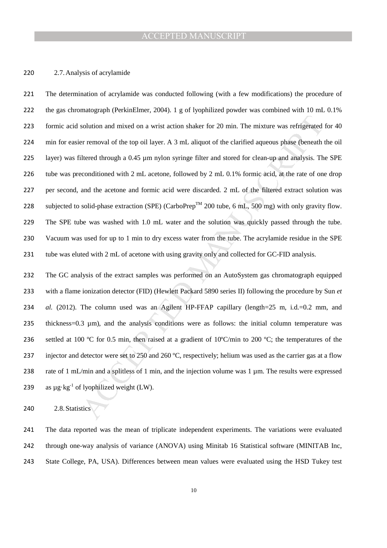#### 2.7.Analysis of acrylamide

solution and mixed on a wrist action shaker for 20 min. The mixture was refrigerated<br>er removal of the top oil layer. A 3 mL aliquot of the clarified aqueous phase (beneath<br>itlered through a 0.45 µm nylon syringe filter a The determination of acrylamide was conducted following (with a few modifications) the procedure of the gas chromatograph (PerkinElmer, 2004). 1 g of lyophilized powder was combined with 10 mL 0.1% formic acid solution and mixed on a wrist action shaker for 20 min. The mixture was refrigerated for 40 min for easier removal of the top oil layer. A 3 mL aliquot of the clarified aqueous phase (beneath the oil layer) was filtered through a 0.45 µm nylon syringe filter and stored for clean-up and analysis. The SPE tube was preconditioned with 2 mL acetone, followed by 2 mL 0.1% formic acid, at the rate of one drop per second, and the acetone and formic acid were discarded. 2 mL of the filtered extract solution was 228 subjected to solid-phase extraction (SPE) (CarboPrep<sup>TM</sup> 200 tube, 6 mL, 500 mg) with only gravity flow. The SPE tube was washed with 1.0 mL water and the solution was quickly passed through the tube. Vacuum was used for up to 1 min to dry excess water from the tube. The acrylamide residue in the SPE 231 tube was eluted with 2 mL of acetone with using gravity only and collected for GC-FID analysis.

The GC analysis of the extract samples was performed on an AutoSystem gas chromatograph equipped with a flame ionization detector (FID) (Hewlett Packard 5890 series II) following the procedure by Sun *et al.* (2012). The column used was an Agilent HP-FFAP capillary (length=25 m, i.d.=0.2 mm, and thickness=0.3 µm), and the analysis conditions were as follows: the initial column temperature was 236 settled at 100 °C for 0.5 min, then raised at a gradient of 10°C/min to 200 °C; the temperatures of the 237 injector and detector were set to 250 and 260 °C, respectively; helium was used as the carrier gas at a flow 238 rate of 1 mL/min and a splitless of 1 min, and the injection volume was 1 µm. The results were expressed 239 as  $\mu$ g·kg<sup>-1</sup> of lyophilized weight (LW).

2.8.Statistics

The data reported was the mean of triplicate independent experiments. The variations were evaluated through one-way analysis of variance (ANOVA) using Minitab 16 Statistical software (MINITAB Inc, State College, PA, USA). Differences between mean values were evaluated using the HSD Tukey test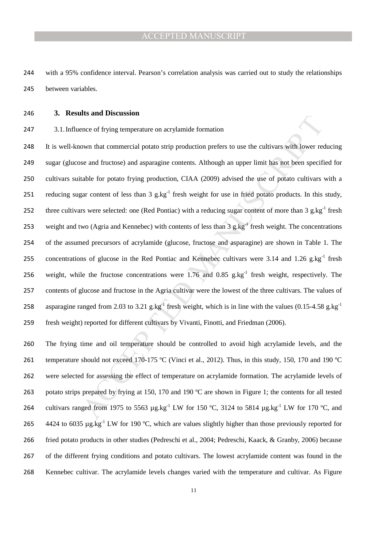with a 95% confidence interval. Pearson's correlation analysis was carried out to study the relationships between variables.

#### **3. Results and Discussion**

3.1.Influence of frying temperature on acrylamide formation

and Disturbation<br>care of frying temperature on acrylamide formation<br>own that commercial potato strip production prefers to use the cultivars with lower rease and fructose) and asparagine contents. Although an upper limit It is well-known that commercial potato strip production prefers to use the cultivars with lower reducing sugar (glucose and fructose) and asparagine contents. Although an upper limit has not been specified for cultivars suitable for potato frying production, CIAA (2009) advised the use of potato cultivars with a 251 reducing sugar content of less than  $3 \text{ g} \cdot \text{kg}^{-1}$  fresh weight for use in fried potato products. In this study, 252 three cultivars were selected: one (Red Pontiac) with a reducing sugar content of more than  $3 \text{ g} \cdot \text{kg}^{-1}$  fresh 253 weight and two (Agria and Kennebec) with contents of less than  $3 \text{ g.kg}^{-1}$  fresh weight. The concentrations of the assumed precursors of acrylamide (glucose, fructose and asparagine) are shown in Table 1. The 255 concentrations of glucose in the Red Pontiac and Kennebec cultivars were 3.14 and 1.26 g.kg<sup>-1</sup> fresh 256 weight, while the fructose concentrations were  $1.76$  and  $0.85$  g.kg<sup>-1</sup> fresh weight, respectively. The contents of glucose and fructose in the Agria cultivar were the lowest of the three cultivars. The values of 258 asparagine ranged from 2.03 to 3.21 g.kg<sup>-1</sup> fresh weight, which is in line with the values (0.15-4.58 g.kg<sup>-1</sup>) fresh weight) reported for different cultivars by Vivanti, Finotti, and Friedman (2006).

The frying time and oil temperature should be controlled to avoid high acrylamide levels, and the temperature should not exceed 170-175 ºC (Vinci et al., 2012). Thus, in this study, 150, 170 and 190 ºC were selected for assessing the effect of temperature on acrylamide formation. The acrylamide levels of 263 potato strips prepared by frying at 150, 170 and 190 °C are shown in Figure 1; the contents for all tested 264 cultivars ranged from 1975 to 5563  $\mu$ g.kg<sup>-1</sup> LW for 150 °C, 3124 to 5814  $\mu$ g.kg<sup>-1</sup> LW for 170 °C, and  $\frac{4424 \text{ to } 6035 \text{ µg} \cdot \text{kg}^{-1}}{1 \text{ W}}$  for 190 °C, which are values slightly higher than those previously reported for fried potato products in other studies (Pedreschi et al., 2004; Pedreschi, Kaack, & Granby, 2006) because of the different frying conditions and potato cultivars. The lowest acrylamide content was found in the Kennebec cultivar. The acrylamide levels changes varied with the temperature and cultivar. As Figure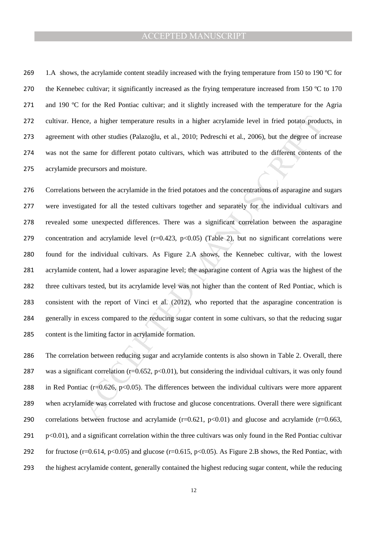269 1.A shows, the acrylamide content steadily increased with the frying temperature from 150 to 190 °C for 270 the Kennebec cultivar; it significantly increased as the frying temperature increased from 150 °C to 170 271 and 190 °C for the Red Pontiac cultivar; and it slightly increased with the temperature for the Agria cultivar. Hence, a higher temperature results in a higher acrylamide level in fried potato products, in agreement with other studies (Palazoğlu, et al., 2010; Pedreschi et al., 2006), but the degree of increase was not the same for different potato cultivars, which was attributed to the different contents of the acrylamide precursors and moisture.

nee, a higher temperature results in a higher acrylamide level in fried potato product<br>in other studies (Palazoglu, et al., 2010; Pedreschi et al., 2006), but the degree of in<br>same for different potato cultivars, which wa Correlations between the acrylamide in the fried potatoes and the concentrations of asparagine and sugars were investigated for all the tested cultivars together and separately for the individual cultivars and revealed some unexpected differences. There was a significant correlation between the asparagine 279 concentration and acrylamide level  $(r=0.423, p<0.05)$  (Table 2), but no significant correlations were found for the individual cultivars. As Figure 2.A shows, the Kennebec cultivar, with the lowest acrylamide content, had a lower asparagine level; the asparagine content of Agria was the highest of the three cultivars tested, but its acrylamide level was not higher than the content of Red Pontiac, which is consistent with the report of Vinci et al. (2012), who reported that the asparagine concentration is generally in excess compared to the reducing sugar content in some cultivars, so that the reducing sugar content is the limiting factor in acrylamide formation.

The correlation between reducing sugar and acrylamide contents is also shown in Table 2. Overall, there 287 was a significant correlation ( $r=0.652$ ,  $p<0.01$ ), but considering the individual cultivars, it was only found 288 in Red Pontiac (r= $0.626$ , p< $0.05$ ). The differences between the individual cultivars were more apparent when acrylamide was correlated with fructose and glucose concentrations. Overall there were significant 290 correlations between fructose and acrylamide  $(r=0.621, p<0.01)$  and glucose and acrylamide  $(r=0.663, p<0.01)$ p<0.01), and a significant correlation within the three cultivars was only found in the Red Pontiac cultivar 292 for fructose (r=0.614, p<0.05) and glucose (r=0.615, p<0.05). As Figure 2.B shows, the Red Pontiac, with the highest acrylamide content, generally contained the highest reducing sugar content, while the reducing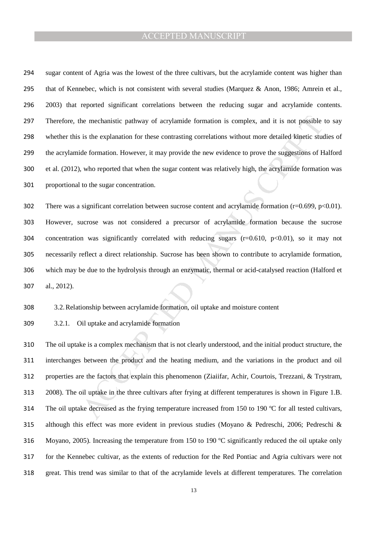sugar content of Agria was the lowest of the three cultivars, but the acrylamide content was higher than 295 that of Kennebec, which is not consistent with several studies (Marquez & Anon, 1986; Amrein et al., 2003) that reported significant correlations between the reducing sugar and acrylamide contents. Therefore, the mechanistic pathway of acrylamide formation is complex, and it is not possible to say whether this is the explanation for these contrasting correlations without more detailed kinetic studies of the acrylamide formation. However, it may provide the new evidence to prove the suggestions of Halford et al. (2012), who reported that when the sugar content was relatively high, the acrylamide formation was proportional to the sugar concentration.

the mechanistic pathway of acrylamide formation is complex, and it is not possible<br>is the explanation for these contrasting correlations without more detailed kinetic stude<br>formation. However, it may provide the new evide There was a significant correlation between sucrose content and acrylamide formation (r=0.699, p<0.01). However, sucrose was not considered a precursor of acrylamide formation because the sucrose 304 concentration was significantly correlated with reducing sugars  $(r=0.610, p<0.01)$ , so it may not necessarily reflect a direct relationship. Sucrose has been shown to contribute to acrylamide formation, which may be due to the hydrolysis through an enzymatic, thermal or acid-catalysed reaction (Halford et al., 2012).

3.2.Relationship between acrylamide formation, oil uptake and moisture content

3.2.1. Oil uptake and acrylamide formation

The oil uptake is a complex mechanism that is not clearly understood, and the initial product structure, the interchanges between the product and the heating medium, and the variations in the product and oil properties are the factors that explain this phenomenon (Ziaiifar, Achir, Courtois, Trezzani, & Trystram, 2008). The oil uptake in the three cultivars after frying at different temperatures is shown in Figure 1.B. 314 The oil uptake decreased as the frying temperature increased from 150 to 190 °C for all tested cultivars, although this effect was more evident in previous studies (Moyano & Pedreschi, 2006; Pedreschi & Moyano, 2005). Increasing the temperature from 150 to 190 ºC significantly reduced the oil uptake only for the Kennebec cultivar, as the extents of reduction for the Red Pontiac and Agria cultivars were not great. This trend was similar to that of the acrylamide levels at different temperatures. The correlation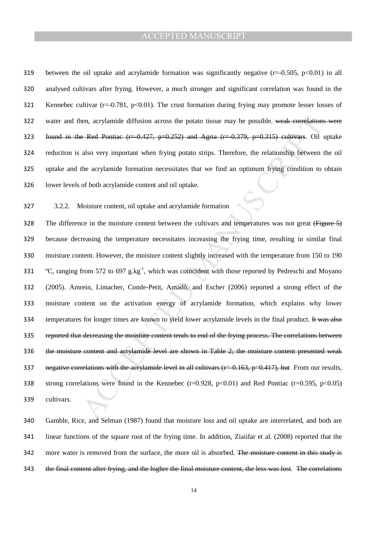between the oil uptake and acrylamide formation was significantly negative (r=-0.505, p<0.01) in all analysed cultivars after frying. However, a much stronger and significant correlation was found in the 321 Kennebec cultivar ( $r=0.781$ ,  $p<0.01$ ). The crust formation during frying may promote lesser losses of 322 water and then, acrylamide diffusion across the potato tissue may be possible. weak correlations were found in the Red Pontiac (r=-0.427, p=0.252) and Agria (r=-0.379, p=0.315) cultivars. Oil uptake reduction is also very important when frying potato strips. Therefore, the relationship between the oil uptake and the acrylamide formation necessitates that we find an optimum frying condition to obtain lower levels of both acrylamide content and oil uptake.

3.2.2. Moisture content, oil uptake and acrylamide formation

hen, acrylamide diffusion across the potato tissue may be possible. weak-correlatione<br> **E-Red Pontiac** (r=0.427, p=0.252) and Agria (r=0.379, p=0.315) cultivars. Oil also very important when frying potato strips. Therefor 328 The difference in the moisture content between the cultivars and temperatures was not great (Figure 5) because decreasing the temperature necessitates increasing the frying time, resulting in similar final moisture content. However, the moisture content slightly increased with the temperature from 150 to 190  $\degree$ C, ranging from 572 to 697 g.kg<sup>-1</sup>, which was coincident with those reported by Pedreschi and Moyano (2005). Amrein, Limacher, Conde-Petit, Amadò, and Escher (2006) reported a strong effect of the moisture content on the activation energy of acrylamide formation, which explains why lower 334 temperatures for longer times are known to yield lower acrylamide levels in the final product. It was also 335 reported that decreasing the moisture content tends to end of the frying process. The correlations between the moisture content and acrylamide level are shown in Table 2; the moisture content presented weak 337 negative correlations with the acrylamide level in all cultivars  $(r=0.163, p=0.417)$ , but From our results, strong correlations were found in the Kennebec (r=0.928, p<0.01) and Red Pontiac (r=0.595, p<0.05) cultivars.

Gamble, Rice, and Selman (1987) found that moisture loss and oil uptake are interrelated, and both are linear functions of the square root of the frying time. In addition, Ziaiifar et al. (2008) reported that the 342 more water is removed from the surface, the more oil is absorbed. The moisture content in this study is the final content after frying, and the higher the final moisture content, the less was lost. The correlations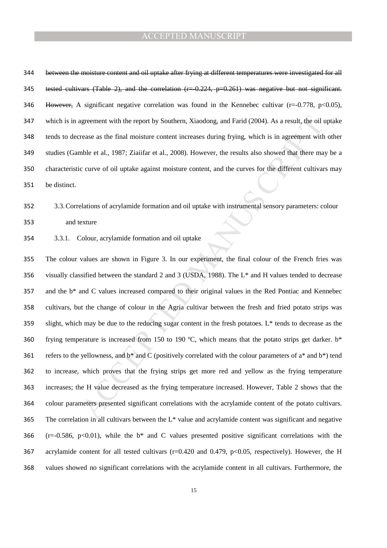between the moisture content and oil uptake after frying at different temperatures were investigated for all tested cultivars (Table 2), and the correlation (r=-0.224, p=0.261) was negative but not significant. However, A significant negative correlation was found in the Kennebec cultivar (r=-0.778, p<0.05), which is in agreement with the report by Southern, Xiaodong, and Farid (2004). As a result, the oil uptake tends to decrease as the final moisture content increases during frying, which is in agreement with other studies (Gamble et al., 1987; Ziaiifar et al., 2008). However, the results also showed that there may be a characteristic curve of oil uptake against moisture content, and the curves for the different cultivars may be distinct.

# 3.3.Correlations of acrylamide formation and oil uptake with instrumental sensory parameters: colour and texture

3.3.1. Colour, acrylamide formation and oil uptake

igneement with the report by Southern, Xiaodong, and Farid (2004). As a result, the oil versue as the final moisture content increases during frying, which is in agreement with<br>the et al., 1987; Ziaiifar et al., 2008). Ho The colour values are shown in Figure 3. In our experiment, the final colour of the French fries was visually classified between the standard 2 and 3 (USDA, 1988). The L\* and H values tended to decrease and the b\* and C values increased compared to their original values in the Red Pontiac and Kennebec cultivars, but the change of colour in the Agria cultivar between the fresh and fried potato strips was slight, which may be due to the reducing sugar content in the fresh potatoes. L<sup>\*</sup> tends to decrease as the frying temperature is increased from 150 to 190 ºC, which means that the potato strips get darker. b\* 361 refers to the yellowness, and  $b^*$  and C (positively correlated with the colour parameters of  $a^*$  and  $b^*$ ) tend to increase, which proves that the frying strips get more red and yellow as the frying temperature increases; the H value decreased as the frying temperature increased. However, Table 2 shows that the colour parameters presented significant correlations with the acrylamide content of the potato cultivars. The correlation in all cultivars between the L\* value and acrylamide content was significant and negative 366 (r=-0.586, p<0.01), while the  $b^*$  and C values presented positive significant correlations with the 367 acrylamide content for all tested cultivars (r=0.420 and 0.479, p<0.05, respectively). However, the H values showed no significant correlations with the acrylamide content in all cultivars. Furthermore, the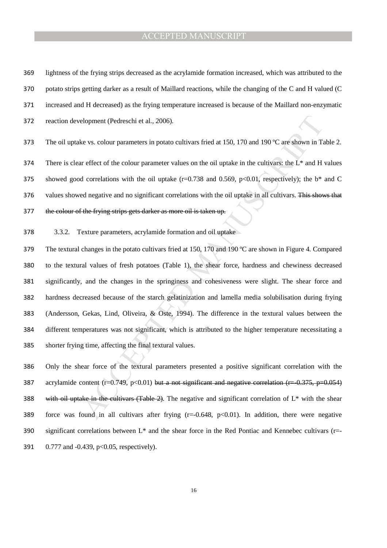lightness of the frying strips decreased as the acrylamide formation increased, which was attributed to the potato strips getting darker as a result of Maillard reactions, while the changing of the C and H valued (C increased and H decreased) as the frying temperature increased is because of the Maillard non-enzymatic reaction development (Pedreschi et al., 2006).

373 The oil uptake vs. colour parameters in potato cultivars fried at 150, 170 and 190 °C are shown in Table 2.

374 There is clear effect of the colour parameter values on the oil uptake in the cultivars: the  $L^*$  and H values 375 showed good correlations with the oil uptake ( $r=0.738$  and 0.569,  $p<0.01$ , respectively); the b\* and C 376 values showed negative and no significant correlations with the oil uptake in all cultivars. This shows that 377 the colour of the frying strips gets darker as more oil is taken up.

3.3.2. Texture parameters, acrylamide formation and oil uptake

elopment (Pedreschi et al., 2006).<br>
ke vs. colour parameters in potato cultivars fried at 150, 170 and 190 °C are shown in Ta<br>
reffect of the colour parameter values on the oil uptake in the cultivars the L.\* and H<br>
d cor 379 The textural changes in the potato cultivars fried at 150, 170 and 190 °C are shown in Figure 4. Compared to the textural values of fresh potatoes (Table 1), the shear force, hardness and chewiness decreased significantly, and the changes in the springiness and cohesiveness were slight. The shear force and hardness decreased because of the starch gelatinization and lamella media solubilisation during frying (Andersson, Gekas, Lind, Oliveira, & Oste, 1994). The difference in the textural values between the different temperatures was not significant, which is attributed to the higher temperature necessitating a shorter frying time, affecting the final textural values.

Only the shear force of the textural parameters presented a positive significant correlation with the 387 acrylamide content (r=0.749, p<0.01) but a not significant and negative correlation (r=-0.375, p=0.054) 388 with oil uptake in the cultivars (Table 2). The negative and significant correlation of  $L^*$  with the shear force was found in all cultivars after frying (r=-0.648, p<0.01). In addition, there were negative significant correlations between L\* and the shear force in the Red Pontiac and Kennebec cultivars (r=- 0.777 and -0.439, p<0.05, respectively).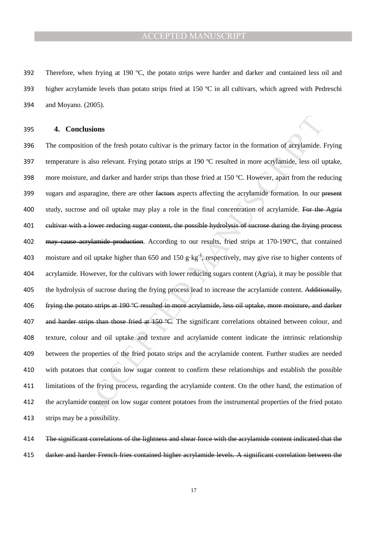392 Therefore, when frying at 190  $\degree$ C, the potato strips were harder and darker and contained less oil and 393 higher acrylamide levels than potato strips fried at 150 ºC in all cultivars, which agreed with Pedreschi 394 and Moyano. (2005).

#### 395 **4. Conclusions**

**clusions**<br>
clusions<br>
clusions<br>
is also relevant. Frying potato strips at 190 °C resulted in more acrylamide. Iss also relevant. Frying potato strips at 190 °C resulted in more acrylamide, less oil u<br>
e.e, and darker and 396 The composition of the fresh potato cultivar is the primary factor in the formation of acrylamide. Frying 397 temperature is also relevant. Frying potato strips at 190 ºC resulted in more acrylamide, less oil uptake, 398 more moisture, and darker and harder strips than those fried at 150  $^{\circ}$ C. However, apart from the reducing 399 sugars and asparagine, there are other <del>factors</del> aspects affecting the acrylamide formation. In our present 400 study, sucrose and oil uptake may play a role in the final concentration of acrylamide. For the Agria 401 cultivar with a lower reducing sugar content, the possible hydrolysis of sucrose during the frying process 402 may cause acrylamide production. According to our results, fried strips at 170-190°C, that contained 403 moisture and oil uptake higher than 650 and 150 g $\text{kg}^{-1}$ , respectively, may give rise to higher contents of 404 acrylamide. However, for the cultivars with lower reducing sugars content (Agria), it may be possible that 405 the hydrolysis of sucrose during the frying process lead to increase the acrylamide content. Additionally, 406 frying the potato strips at 190 °C resulted in more acrylamide, less oil uptake, more moisture, and darker 407 and harder strips than those fried at 150 °C. The significant correlations obtained between colour, and 408 texture, colour and oil uptake and texture and acrylamide content indicate the intrinsic relationship 409 between the properties of the fried potato strips and the acrylamide content. Further studies are needed 410 with potatoes that contain low sugar content to confirm these relationships and establish the possible 411 limitations of the frying process, regarding the acrylamide content. On the other hand, the estimation of 412 the acrylamide content on low sugar content potatoes from the instrumental properties of the fried potato 413 strips may be a possibility.

414 The significant correlations of the lightness and shear force with the acrylamide content indicated that the 415 darker and harder French fries contained higher acrylamide levels. A significant correlation between the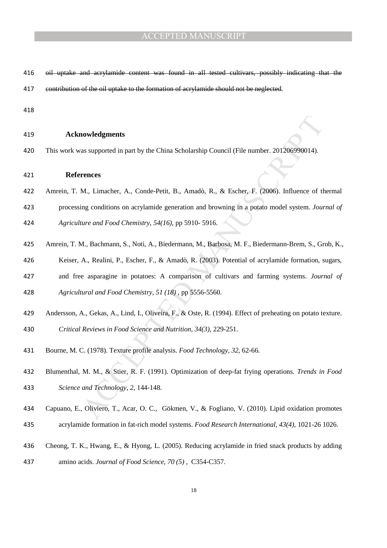- oil uptake and acrylamide content was found in all tested cultivars, possibly indicating that the 417 contribution of the oil uptake to the formation of acrylamide should not be neglected.
- 

#### **Acknowledgments**

This work was supported in part by the China Scholarship Council (File number. 201206990014).

#### **References**

- Amrein, T. M., Limacher, A., Conde-Petit, B., Amadò, R., & Escher, F. (2006). Influence of thermal
- processing conditions on acrylamide generation and browning in a potato model system. *Journal of Agriculture and Food Chemistry, 54(16)*, pp 5910- 5916.
- Amrein, T. M., Bachmann, S., Noti, A., Biedermann, M., Barbosa, M. F., Biedermann-Brem, S., Grob, K.,
- 
- Keiser, A., Realini, P., Escher, F., & Amadò, R. (2003). Potential of acrylamide formation, sugars,
- and free asparagine in potatoes: A comparison of cultivars and farming systems. *Journal of*

*Agricultural and Food Chemistry, 51 (18)* , pp 5556-5560.

- Andersson, A., Gekas, A., Lind, I., Oliveira, F., & Oste, R. (1994). Effect of preheating on potato texture. *Critical Reviews in Food Science and Nutrition, 34(3)*, 229-251.
- Bourne, M. C. (1978). Texture profile analysis. *Food Technology*, *32*, 62-66.
- **nowledgments**<br>
as supported in part by the China Scholarship Council (File number. 201206990014).<br> **rences**<br>
M., Limacher, A., Conde-Petit, B., Amadò, R., & Escher, F. (2006). Influence of the<br>
ing conditions on acrylamid Blumenthal, M. M., & Stier, R. F. (1991). Optimization of deep-fat frying operations. *Trends in Food Science and Technology, 2*, 144-148.
- Capuano, E., Oliviero, T., Acar, O. C., Gökmen, V., & Fogliano, V. (2010). Lipid oxidation promotes
- acrylamide formation in fat-rich model systems. *Food Research International, 43(4)*, 1021-26 1026.
- Cheong, T. K., Hwang, E., & Hyong, L. (2005). Reducing acrylamide in fried snack products by adding
- amino acids. *Journal of Food Science, 70 (5)* , C354-C357.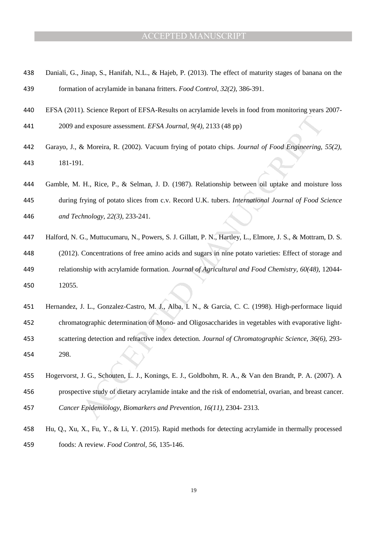- Daniali, G., Jinap, S., Hanifah, N.L., & Hajeb, P. (2013). The effect of maturity stages of banana on the formation of acrylamide in banana fritters. *Food Control, 32(2)*, 386-391.
- EFSA (2011). Science Report of EFSA-Results on acrylamide levels in food from monitoring years 2007-
- 2009 and exposure assessment. *EFSA Journal, 9(4)*, 2133 (48 pp)
- Garayo, J., & Moreira, R. (2002). Vacuum frying of potato chips. *Journal of Food Engineering, 55(2)*, 181-191.
- Gamble, M. H., Rice, P., & Selman, J. D. (1987). Relationship between oil uptake and moisture loss during frying of potato slices from c.v. Record U.K. tubers. *International Journal of Food Science and Technology, 22(3)*, 233-241.
- Halford, N. G., Muttucumaru, N., Powers, S. J. Gillatt, P. N., Hartley, L., Elmore, J. S., & Mottram, D. S. (2012). Concentrations of free amino acids and sugars in nine potato varieties: Effect of storage and relationship with acrylamide formation. *Journal of Agricultural and Food Chemistry, 60(48)*, 12044- 12055.
- d exposure assessment. *EFSA Journal*, 9(4), 2133 (48 pp)<br>
& Moreira, R. (2002). Vacuum frying of potato chips. *Journal of Food Engineering.*<br>
1.<br>
1. Rice, P., & Selman, J. D. (1987). Relationship between oil uptake and m Hernandez, J. L., Gonzalez-Castro, M. J., Alba, I. N., & Garcia, C. C. (1998). High-performace liquid chromatographic determination of Mono- and Oligosaccharides in vegetables with evaporative light-scattering detection and refractive index detection. *Journal of Chromatographic Science, 36(6)*, 293- 298.
- Hogervorst, J. G., Schouten, L. J., Konings, E. J., Goldbohm, R. A., & Van den Brandt, P. A. (2007). A prospective study of dietary acrylamide intake and the risk of endometrial, ovarian, and breast cancer. *Cancer Epidemiology, Biomarkers and Prevention, 16(11)*, 2304- 2313.
- Hu, Q., Xu, X., Fu, Y., & Li, Y. (2015). Rapid methods for detecting acrylamide in thermally processed foods: A review. *Food Control, 56*, 135-146.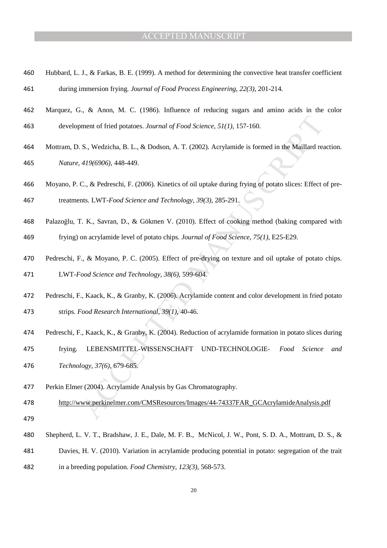- Hubbard, L. J., & Farkas, B. E. (1999). A method for determining the convective heat transfer coefficient during immersion frying. *Journal of Food Process Engineering, 22(3)*, 201-214.
- Marquez, G., & Anon, M. C. (1986). Influence of reducing sugars and amino acids in the color development of fried potatoes. *Journal of Food Science, 51(1)*, 157-160.
- Mottram, D. S., Wedzicha, B. L., & Dodson, A. T. (2002). Acrylamide is formed in the Maillard reaction. *Nature, 419(6906)*, 448-449.
- Moyano, P. C., & Pedreschi, F. (2006). Kinetics of oil uptake during frying of potato slices: Effect of pre-treatments. LWT-*Food Science and Technology, 39(3)*, 285-291.
- Palazoğlu, T. K., Savran, D., & Gökmen V. (2010). Effect of cooking method (baking compared with frying) on acrylamide level of potato chips. *Journal of Food Science, 75(1)*, E25-E29.
- ment of fried potatoes. Journal of Food Science, 51(1), 157-160.<br>
S., Wedzicha, B. L., & Dodson, A. T. (2002). Acrylamide is formed in the Maillard res<br>
419(6906), 448-449.<br>
C., & Pedreschi, F. (2006). Kinetics of oil upta Pedreschi, F., & Moyano, P. C. (2005). Effect of pre-drying on texture and oil uptake of potato chips. LWT-*Food Science and Technology, 38(6),* 599-604.
- Pedreschi, F., Kaack, K., & Granby, K. (2006). Acrylamide content and color development in fried potato
- strips. *Food Research International, 39(1)*, 40-46.
- Pedreschi, F., Kaack, K., & Granby, K. (2004). Reduction of acrylamide formation in potato slices during
- frying. LEBENSMITTEL-WISSENSCHAFT UND-TECHNOLOGIE- *Food Science and*
- *Technology, 37(6)*, 679-685.
- Perkin Elmer (2004). Acrylamide Analysis by Gas Chromatography.
- http://www.perkinelmer.com/CMSResources/Images/44-74337FAR\_GCAcrylamideAnalysis.pdf
- 
- Shepherd, L. V. T., Bradshaw, J. E., Dale, M. F. B., McNicol, J. W., Pont, S. D. A., Mottram, D. S., & Davies, H. V. (2010). Variation in acrylamide producing potential in potato: segregation of the trait
- in a breeding population. *Food Chemistry, 123(3)*, 568-573.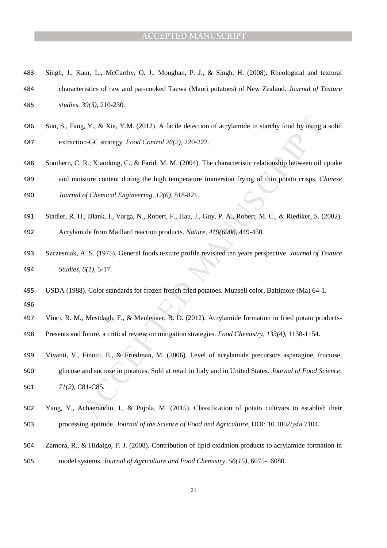- Singh, J., Kaur, L., McCarthy, O. J., Moughan, P. J., & Singh, H. (2008). Rheological and textural characteristics of raw and par-cooked Taewa (Maori potatoes) of New Zealand. *Journal of Texture studies*. *39(3)*, 210-230.
- Sun, S., Fang, Y., & Xia, Y.M. (2012). A facile detection of acrylamide in starchy food by using a solid extraction-GC strategy. *Food Control 26(2)*, 220-222.
- Southern, C. R., Xiaodong, C., & Farid, M. M. (2004). The characteristic relationship between oil uptake and moisture content during the high temperature immersion frying of thin potato crisps. *Chinese*

*Journal of Chemical Engineering, 12(6),* 818-821.

- Stadler, R. H., Blank, I., Varga, N., Robert, F., Hau, J., Guy, P. A., Robert, M. C., & Riediker, S. (2002). Acrylamide from Maillard reaction products. *Nature, 419(6906*, 449-450.
- Szczesniak, A. S. (1975). General foods texture profile revisited ten years perspective. *Journal of Texture Studies*, *6(1)*, 5-17.
- USDA (1988). Color standards for frozen french fried potatoes. Munsell color, Baltimore (Ma) 64-1.
- 
- Vinci, R. M., Mestdagh, F., & Meulenaer, B. D. (2012). Acrylamide formation in fried potato products-
- Presents and future, a critical review on mitigation strategies. *Food Chemistry, 133(4)*, 1138-1154.
- g, Y., & Xia, Y.M. (2012). A facile detection of acrylamide in starchy food by using a<br>on-GC strategy. *Food Control 26*(2), 220-222.<br>
R., Xiaodong, C., & Farid, M. M. (2004). The characteristic relationship between oil v Vivanti, V., Finotti, E., & Friedman, M. (2006). Level of acrylamide precursors asparagine, fructose, glucose and sucrose in potatoes. Sold at retail in Italy and in United States. *Journal of Food Science, 71(2),* C81-C85.
- 
- Yang, Y., Achaerandio, I., & Pujola, M. (2015). Classification of potato cultivars to establish their processing aptitude. *Journal of the Science of Food and Agriculture*, DOI: 10.1002/jsfa.7104.
- Zamora, R., & Hidalgo, F. J. (2008). Contribution of lipid oxidation products to acrylamide formation in model systems. *Journal of Agriculture and Food Chemistry, 56(15)*, 6075- 6080.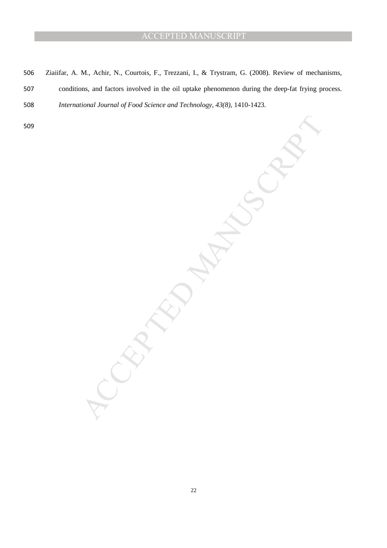Ziaiifar, A. M., Achir, N., Courtois, F., Trezzani, I., & Trystram, G. (2008). Review of mechanisms, conditions, and factors involved in the oil uptake phenomenon during the deep-fat frying process. *International Journal of Food Science and Technology, 43(8)*, 1410-1423.

MANUSCRIPT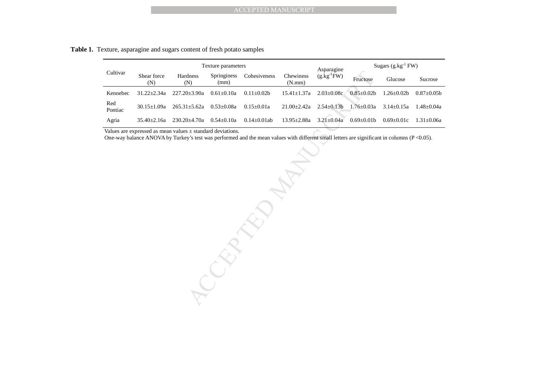**Table 1.** Texture, asparagine and sugars content of fresh potato samples

|                | Texture parameters |                  |                     |                  | Asparagine          | Sugars $(g.kg^{-1}FW)$ |                |                |                |
|----------------|--------------------|------------------|---------------------|------------------|---------------------|------------------------|----------------|----------------|----------------|
| Cultivar       | Shear force<br>(N) | Hardness<br>(N)  | Springiness<br>(mm) | Cohesiveness     | Chewiness<br>(N.mm) | $(g.kg^{-1}FW)$        | Fructose       | Glucose        | Sucrose        |
| Kennebec       | $31.22 + 2.34a$    | $227.20 + 3.90a$ | $0.61 + 0.10a$      | $0.11 + 0.02h$   | $15.41 + 1.37a$     | $2.03+0.08c$           | $0.85 + 0.02h$ | $1.26 + 0.02b$ | $0.87 + 0.05h$ |
| Red<br>Pontiac | $30.15 + 1.09a$    | $265.31 + 5.62a$ | $0.53 + 0.08a$      | $0.15 + 0.01a$   | $21.00 + 2.42a$     | $2.54 + 0.13h$         | $76+0.03a$     | $3.14 + 0.15a$ | $1.48 + 0.04a$ |
| Agria          | $35.40 + 2.16a$    | $230.20 + 4.70a$ | $0.54 + 0.10a$      | $0.14 + 0.01$ ab | 13.95+2.88a         | $3.21 + 0.04a$         | $0.69 + 0.01b$ | $0.69 + 0.01c$ | $1.31 + 0.06a$ |

Values are expressed as mean values ± standard deviations.

One-way balance ANOVA by Turkey's test was performed and the mean values with different small letters are significant in columns ( $P < 0.05$ ).

ACCEPTED MANUSCRIPT<br>
Metalanes Springine Cohesiveness Chewiness (g.kg FW)<br>
ND<br>
Manus Cohesiveness Chewiness (g.kg FW)<br>
Huckose<br>
Manus Chewines (g.kg FW)<br>
Huckose<br>
1-5.62a 0.53+0.08a 0.15+0.01a 21.00+2-42a 2.54+0.13b 1.76-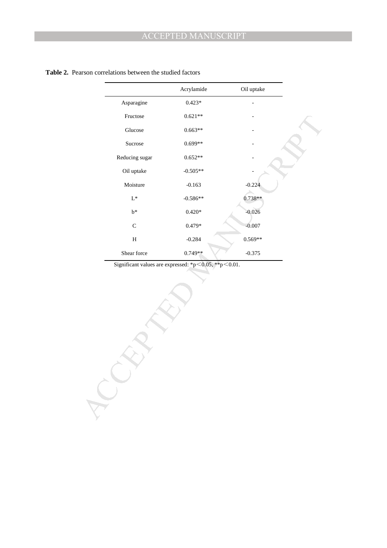|                | Acrylamide     | Oil uptake |  |
|----------------|----------------|------------|--|
| Asparagine     | $0.423*$       |            |  |
| Fructose       | $0.621**$      |            |  |
| $\rm Glucose$  | $0.663**$      |            |  |
| Sucrose        | $0.699**$      |            |  |
| Reducing sugar | $0.652**$      |            |  |
| Oil uptake     | $-0.505**$     |            |  |
| Moisture       | $-0.163$       | $-0.224$   |  |
| $\mathrm{L}^*$ | $-0.586**$     | $0.738**$  |  |
| $\mathbf{b}^*$ | $0.420^{\ast}$ | $-0.026$   |  |
| $\mathsf C$    | $0.479*$       | $-0.007$   |  |
| $\, {\rm H}$   | $-0.284$       | $0.569**$  |  |
| Shear force    | $0.749**$      | $-0.375$   |  |
|                |                |            |  |
|                |                |            |  |

#### **Table 2.** Pearson correlations between the studied factors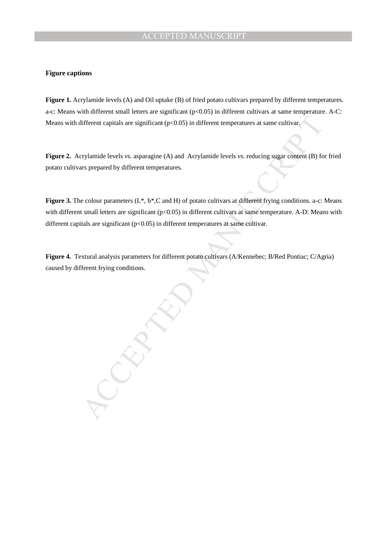#### **Figure captions**

**Figure 1.** Acrylamide levels (A) and Oil uptake (B) of fried potato cultivars prepared by different temperatures. a-c: Means with different small letters are significant  $(p<0.05)$  in different cultivars at same temperature. A-C: Means with different capitals are significant (p<0.05) in different temperatures at same cultivar.

**Figure 2.** Acrylamide levels *vs*. asparagine (A) and Acrylamide levels *vs*. reducing sugar content (B) for fried potato cultivars prepared by different temperatures.

**Figure 3.** The colour parameters (L\*, b\*,C and H) of potato cultivars at different frying conditions. a-c: Means with different small letters are significant (p<0.05) in different cultivars at same temperature. A-D: Means with different capitals are significant (p<0.05) in different temperatures at same cultivar.

**Figure 4.** Textural analysis parameters for different potato cultivars (A/Kennebec; B/Red Pontiac; C/Agria) caused by different frying conditions.

NUS CRIPT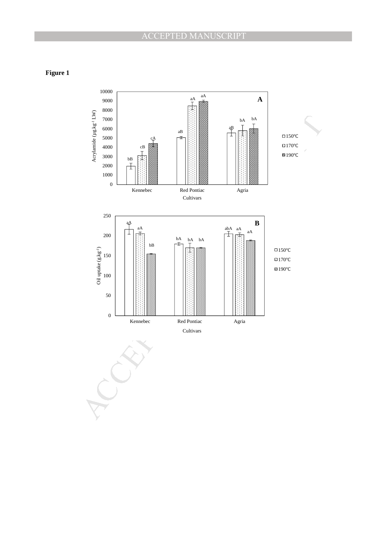**Figure 1**



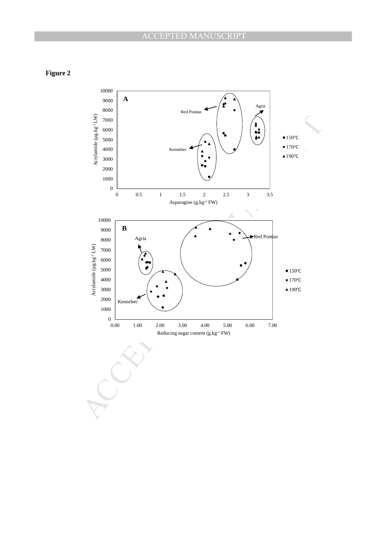**Figure 2**

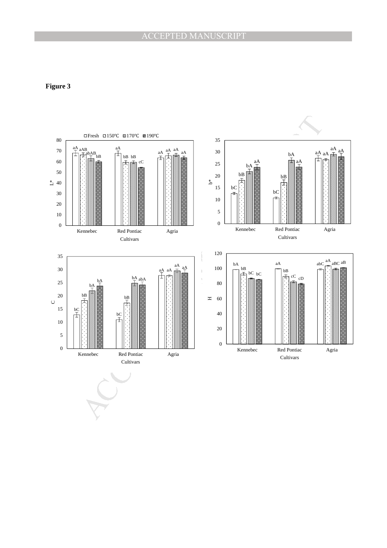# **Figure 3**

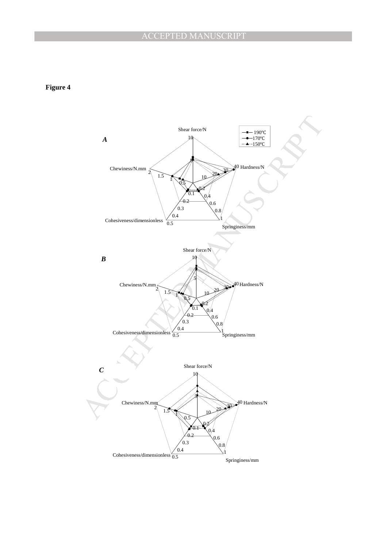**Figure 4**